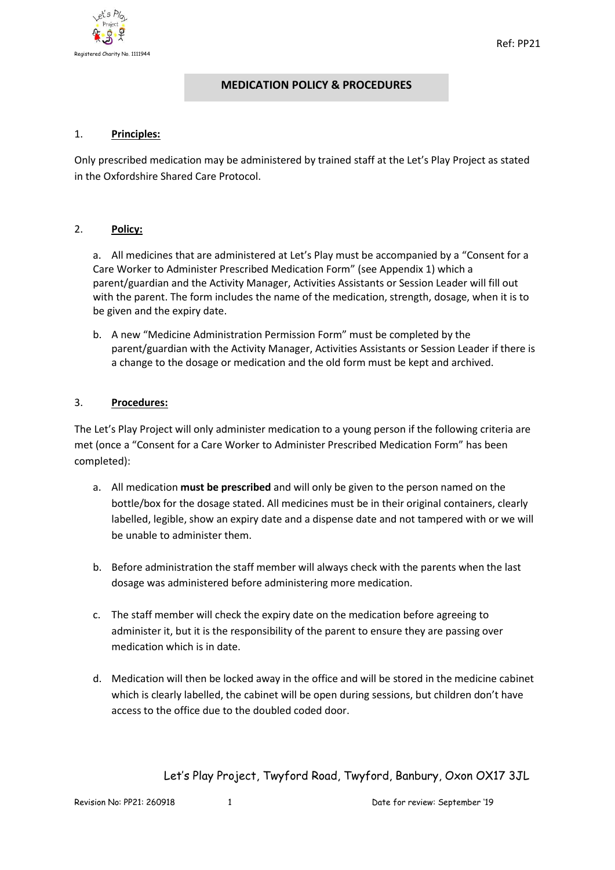

# **MEDICATION POLICY & PROCEDURES**

### 1. **Principles:**

Only prescribed medication may be administered by trained staff at the Let's Play Project as stated in the Oxfordshire Shared Care Protocol.

#### 2. **Policy:**

a. All medicines that are administered at Let's Play must be accompanied by a "Consent for a Care Worker to Administer Prescribed Medication Form" (see Appendix 1) which a parent/guardian and the Activity Manager, Activities Assistants or Session Leader will fill out with the parent. The form includes the name of the medication, strength, dosage, when it is to be given and the expiry date.

b. A new "Medicine Administration Permission Form" must be completed by the parent/guardian with the Activity Manager, Activities Assistants or Session Leader if there is a change to the dosage or medication and the old form must be kept and archived.

#### 3. **Procedures:**

The Let's Play Project will only administer medication to a young person if the following criteria are met (once a "Consent for a Care Worker to Administer Prescribed Medication Form" has been completed):

- a. All medication **must be prescribed** and will only be given to the person named on the bottle/box for the dosage stated. All medicines must be in their original containers, clearly labelled, legible, show an expiry date and a dispense date and not tampered with or we will be unable to administer them.
- b. Before administration the staff member will always check with the parents when the last dosage was administered before administering more medication.
- c. The staff member will check the expiry date on the medication before agreeing to administer it, but it is the responsibility of the parent to ensure they are passing over medication which is in date.
- d. Medication will then be locked away in the office and will be stored in the medicine cabinet which is clearly labelled, the cabinet will be open during sessions, but children don't have access to the office due to the doubled coded door.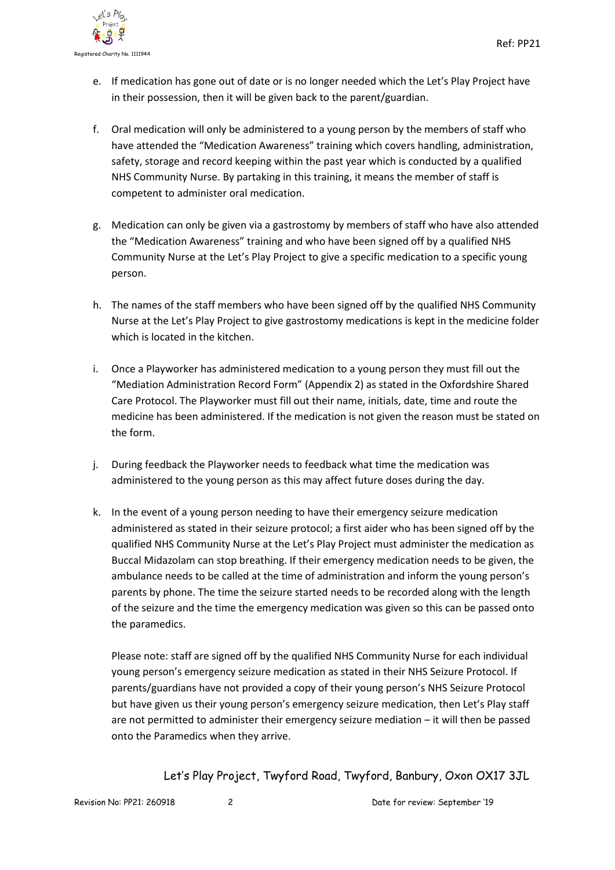

- e. If medication has gone out of date or is no longer needed which the Let's Play Project have in their possession, then it will be given back to the parent/guardian.
- f. Oral medication will only be administered to a young person by the members of staff who have attended the "Medication Awareness" training which covers handling, administration, safety, storage and record keeping within the past year which is conducted by a qualified NHS Community Nurse. By partaking in this training, it means the member of staff is competent to administer oral medication.
- g. Medication can only be given via a gastrostomy by members of staff who have also attended the "Medication Awareness" training and who have been signed off by a qualified NHS Community Nurse at the Let's Play Project to give a specific medication to a specific young person.
- h. The names of the staff members who have been signed off by the qualified NHS Community Nurse at the Let's Play Project to give gastrostomy medications is kept in the medicine folder which is located in the kitchen.
- i. Once a Playworker has administered medication to a young person they must fill out the "Mediation Administration Record Form" (Appendix 2) as stated in the Oxfordshire Shared Care Protocol. The Playworker must fill out their name, initials, date, time and route the medicine has been administered. If the medication is not given the reason must be stated on the form.
- j. During feedback the Playworker needs to feedback what time the medication was administered to the young person as this may affect future doses during the day.
- k. In the event of a young person needing to have their emergency seizure medication administered as stated in their seizure protocol; a first aider who has been signed off by the qualified NHS Community Nurse at the Let's Play Project must administer the medication as Buccal Midazolam can stop breathing. If their emergency medication needs to be given, the ambulance needs to be called at the time of administration and inform the young person's parents by phone. The time the seizure started needs to be recorded along with the length of the seizure and the time the emergency medication was given so this can be passed onto the paramedics.

Please note: staff are signed off by the qualified NHS Community Nurse for each individual young person's emergency seizure medication as stated in their NHS Seizure Protocol. If parents/guardians have not provided a copy of their young person's NHS Seizure Protocol but have given us their young person's emergency seizure medication, then Let's Play staff are not permitted to administer their emergency seizure mediation – it will then be passed onto the Paramedics when they arrive.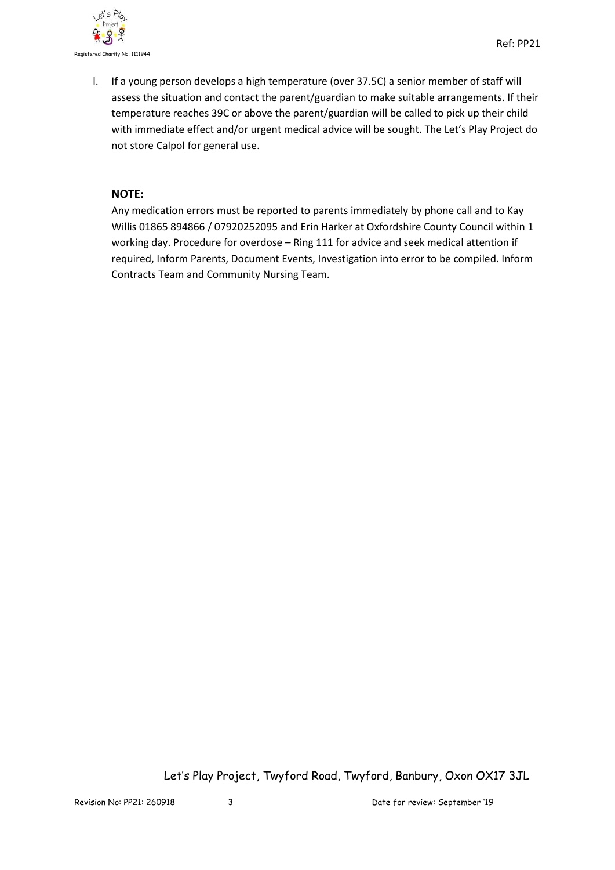

l. If a young person develops a high temperature (over 37.5C) a senior member of staff will assess the situation and contact the parent/guardian to make suitable arrangements. If their temperature reaches 39C or above the parent/guardian will be called to pick up their child with immediate effect and/or urgent medical advice will be sought. The Let's Play Project do not store Calpol for general use.

## **NOTE:**

Any medication errors must be reported to parents immediately by phone call and to Kay Willis 01865 894866 / 07920252095 and Erin Harker at Oxfordshire County Council within 1 working day. Procedure for overdose – Ring 111 for advice and seek medical attention if required, Inform Parents, Document Events, Investigation into error to be compiled. Inform Contracts Team and Community Nursing Team.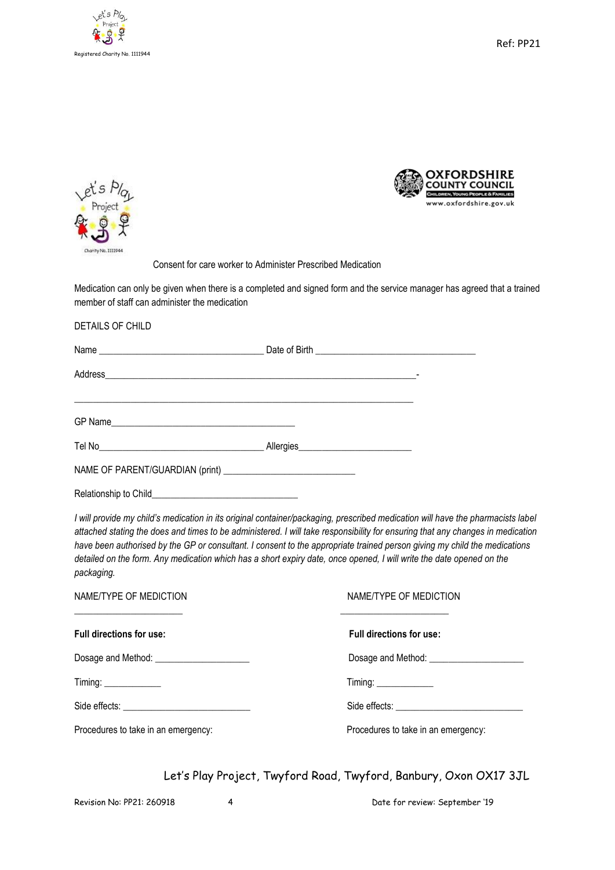

Ref: PP21





Consent for care worker to Administer Prescribed Medication

Medication can only be given when there is a completed and signed form and the service manager has agreed that a trained member of staff can administer the medication

DETAILS OF CHILD

| Relationship to Child |  |
|-----------------------|--|

*I will provide my child's medication in its original container/packaging, prescribed medication will have the pharmacists label attached stating the does and times to be administered. I will take responsibility for ensuring that any changes in medication have been authorised by the GP or consultant. I consent to the appropriate trained person giving my child the medications detailed on the form. Any medication which has a short expiry date, once opened, I will write the date opened on the packaging.* 

| NAME/TYPE OF MEDICTION                     | NAME/TYPE OF MEDICTION              |
|--------------------------------------------|-------------------------------------|
| Full directions for use:                   | Full directions for use:            |
| Dosage and Method: _______________________ |                                     |
| $T$ iming: $\frac{1}{1}$                   | Timing:                             |
|                                            |                                     |
| Procedures to take in an emergency:        | Procedures to take in an emergency: |

Let's Play Project, Twyford Road, Twyford, Banbury, Oxon OX17 3JL

Revision No: PP21: 260918 4 Date for review: September '19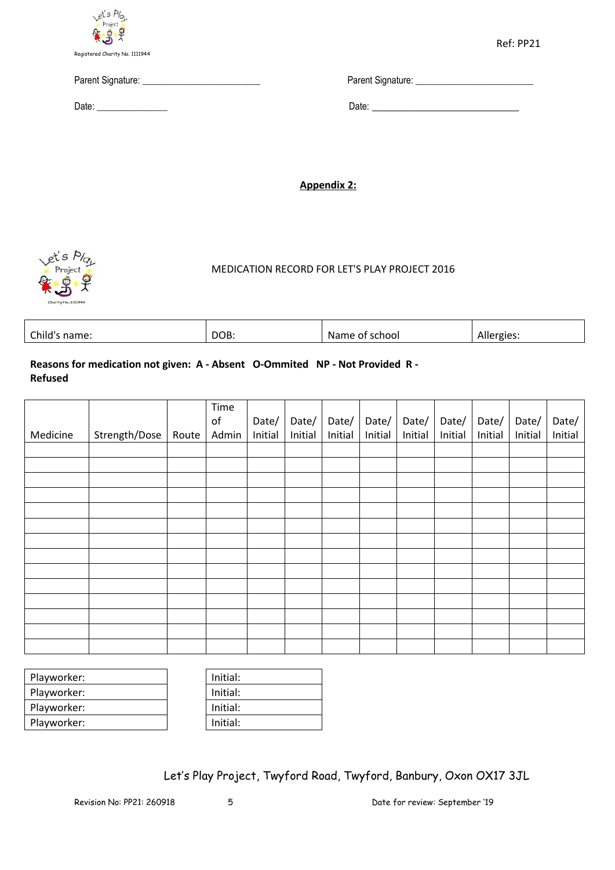

Parent Signature: \_\_\_\_\_\_\_\_\_\_\_\_\_\_\_\_\_\_\_\_\_\_\_\_\_ Parent Signature: \_\_\_\_\_\_\_\_\_\_\_\_\_\_\_\_\_\_\_\_\_\_\_\_\_

Date: \_\_\_\_\_\_\_\_\_\_\_\_\_\_\_ Date: \_\_\_\_\_\_\_\_\_\_\_\_\_\_\_\_\_\_\_\_\_\_\_\_\_\_

**Appendix 2:**



## MEDICATION RECORD FOR LET'S PLAY PROJECT 2016

| Nai<br>Allt<br>Julio,<br>וססר<br>ില<br>-name.<br>- 15<br>. | $\sim$ | DOB. |  |  |
|------------------------------------------------------------|--------|------|--|--|
|------------------------------------------------------------|--------|------|--|--|

### **Reasons for medication not given: A - Absent O-Ommited NP - Not Provided R - Refused**

|          |               |       | Time  |         |         |         |         |         |         |         |         |         |
|----------|---------------|-------|-------|---------|---------|---------|---------|---------|---------|---------|---------|---------|
|          |               |       | of    | Date/   | Date/   | Date/   | Date/   | Date/   | Date/   | Date/   | Date/   | Date/   |
| Medicine | Strength/Dose | Route | Admin | Initial | Initial | Initial | Initial | Initial | Initial | Initial | Initial | Initial |
|          |               |       |       |         |         |         |         |         |         |         |         |         |
|          |               |       |       |         |         |         |         |         |         |         |         |         |
|          |               |       |       |         |         |         |         |         |         |         |         |         |
|          |               |       |       |         |         |         |         |         |         |         |         |         |
|          |               |       |       |         |         |         |         |         |         |         |         |         |
|          |               |       |       |         |         |         |         |         |         |         |         |         |
|          |               |       |       |         |         |         |         |         |         |         |         |         |
|          |               |       |       |         |         |         |         |         |         |         |         |         |
|          |               |       |       |         |         |         |         |         |         |         |         |         |
|          |               |       |       |         |         |         |         |         |         |         |         |         |
|          |               |       |       |         |         |         |         |         |         |         |         |         |
|          |               |       |       |         |         |         |         |         |         |         |         |         |
|          |               |       |       |         |         |         |         |         |         |         |         |         |
|          |               |       |       |         |         |         |         |         |         |         |         |         |

| Playworker: | Initial: |
|-------------|----------|
| Playworker: | Initial: |
| Playworker: | Initial: |
| Playworker: | Initial: |